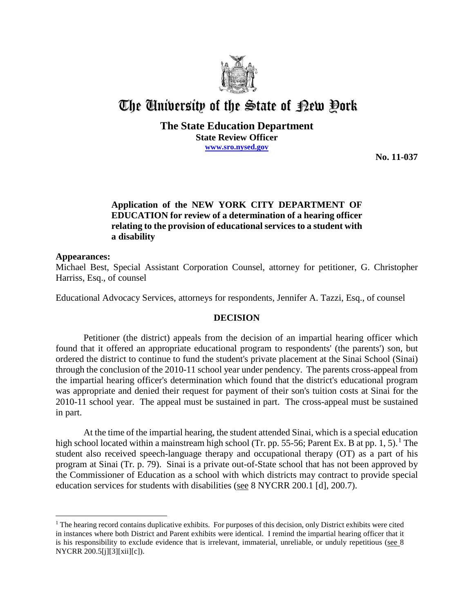

# The University of the State of Pew Pork

**The State Education Department State Review Officer**

**www.sro.nysed.gov**

**No. 11-037** 

# **Application of the NEW YORK CITY DEPARTMENT OF EDUCATION for review of a determination of a hearing officer relating to the provision of educational services to a student with a disability**

## **Appearances:**

Michael Best, Special Assistant Corporation Counsel, attorney for petitioner, G. Christopher Harriss, Esq., of counsel

Educational Advocacy Services, attorneys for respondents, Jennifer A. Tazzi, Esq., of counsel

#### **DECISION**

Petitioner (the district) appeals from the decision of an impartial hearing officer which found that it offered an appropriate educational program to respondents' (the parents') son, but ordered the district to continue to fund the student's private placement at the Sinai School (Sinai) through the conclusion of the 2010-11 school year under pendency. The parents cross-appeal from the impartial hearing officer's determination which found that the district's educational program was appropriate and denied their request for payment of their son's tuition costs at Sinai for the 2010-11 school year. The appeal must be sustained in part. The cross-appeal must be sustained in part.

At the time of the impartial hearing, the student attended Sinai, which is a special education high school located within a mainstream high school (Tr. pp. 55-56; Parent Ex. B at pp. 1, 5).<sup>1</sup> The student also received speech-language therapy and occupational therapy (OT) as a part of his program at Sinai (Tr. p. 79). Sinai is a private out-of-State school that has not been approved by the Commissioner of Education as a school with which districts may contract to provide special education services for students with disabilities (see 8 NYCRR 200.1 [d], 200.7).

 $\overline{a}$  $<sup>1</sup>$  The hearing record contains duplicative exhibits. For purposes of this decision, only District exhibits were cited</sup> in instances where both District and Parent exhibits were identical. I remind the impartial hearing officer that it is his responsibility to exclude evidence that is irrelevant, immaterial, unreliable, or unduly repetitious (see 8 NYCRR 200.5[j][3][xii][c]).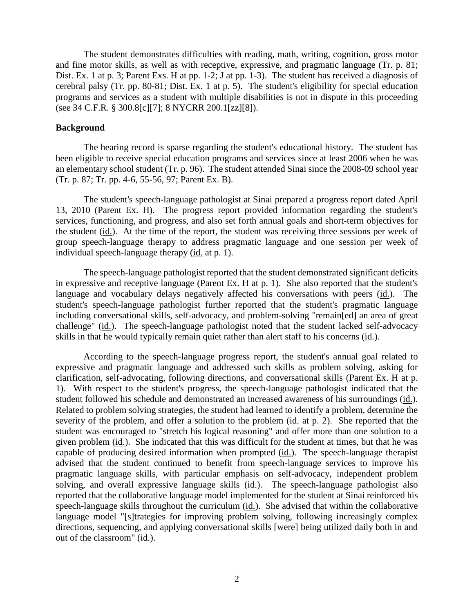The student demonstrates difficulties with reading, math, writing, cognition, gross motor and fine motor skills, as well as with receptive, expressive, and pragmatic language (Tr. p. 81; Dist. Ex. 1 at p. 3; Parent Exs. H at pp. 1-2; J at pp. 1-3). The student has received a diagnosis of cerebral palsy (Tr. pp. 80-81; Dist. Ex. 1 at p. 5). The student's eligibility for special education programs and services as a student with multiple disabilities is not in dispute in this proceeding (see 34 C.F.R. § 300.8[c][7]; 8 NYCRR 200.1[zz][8]).

## **Background**

The hearing record is sparse regarding the student's educational history. The student has been eligible to receive special education programs and services since at least 2006 when he was an elementary school student (Tr. p. 96). The student attended Sinai since the 2008-09 school year (Tr. p. 87; Tr. pp. 4-6, 55-56, 97; Parent Ex. B).

The student's speech-language pathologist at Sinai prepared a progress report dated April 13, 2010 (Parent Ex. H). The progress report provided information regarding the student's services, functioning, and progress, and also set forth annual goals and short-term objectives for the student (id.). At the time of the report, the student was receiving three sessions per week of group speech-language therapy to address pragmatic language and one session per week of individual speech-language therapy (id. at p. 1).

The speech-language pathologist reported that the student demonstrated significant deficits in expressive and receptive language (Parent Ex. H at p. 1). She also reported that the student's language and vocabulary delays negatively affected his conversations with peers (id.). The student's speech-language pathologist further reported that the student's pragmatic language including conversational skills, self-advocacy, and problem-solving "remain[ed] an area of great challenge" (id.). The speech-language pathologist noted that the student lacked self-advocacy skills in that he would typically remain quiet rather than alert staff to his concerns (id.).

According to the speech-language progress report, the student's annual goal related to expressive and pragmatic language and addressed such skills as problem solving, asking for clarification, self-advocating, following directions, and conversational skills (Parent Ex. H at p. 1). With respect to the student's progress, the speech-language pathologist indicated that the student followed his schedule and demonstrated an increased awareness of his surroundings (id.). Related to problem solving strategies, the student had learned to identify a problem, determine the severity of the problem, and offer a solution to the problem (id. at p. 2). She reported that the student was encouraged to "stretch his logical reasoning" and offer more than one solution to a given problem (id.). She indicated that this was difficult for the student at times, but that he was capable of producing desired information when prompted (id.). The speech-language therapist advised that the student continued to benefit from speech-language services to improve his pragmatic language skills, with particular emphasis on self-advocacy, independent problem solving, and overall expressive language skills (id.). The speech-language pathologist also reported that the collaborative language model implemented for the student at Sinai reinforced his speech-language skills throughout the curriculum (id.). She advised that within the collaborative language model "[s]trategies for improving problem solving, following increasingly complex directions, sequencing, and applying conversational skills [were] being utilized daily both in and out of the classroom" (id.).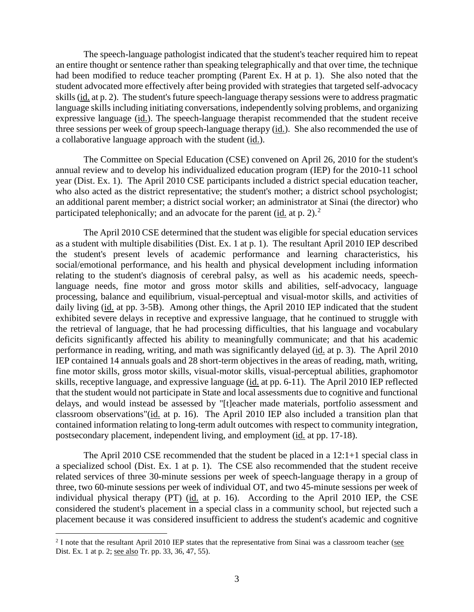The speech-language pathologist indicated that the student's teacher required him to repeat an entire thought or sentence rather than speaking telegraphically and that over time, the technique had been modified to reduce teacher prompting (Parent Ex. H at p. 1). She also noted that the student advocated more effectively after being provided with strategies that targeted self-advocacy skills (id. at p. 2). The student's future speech-language therapy sessions were to address pragmatic language skills including initiating conversations, independently solving problems, and organizing expressive language (id.). The speech-language therapist recommended that the student receive three sessions per week of group speech-language therapy (id.). She also recommended the use of a collaborative language approach with the student (id.).

The Committee on Special Education (CSE) convened on April 26, 2010 for the student's annual review and to develop his individualized education program (IEP) for the 2010-11 school year (Dist. Ex. 1). The April 2010 CSE participants included a district special education teacher, who also acted as the district representative; the student's mother; a district school psychologist; an additional parent member; a district social worker; an administrator at Sinai (the director) who participated telephonically; and an advocate for the parent (*id.* at p. 2).<sup>2</sup>

The April 2010 CSE determined that the student was eligible for special education services as a student with multiple disabilities (Dist. Ex. 1 at p. 1). The resultant April 2010 IEP described the student's present levels of academic performance and learning characteristics, his social/emotional performance, and his health and physical development including information relating to the student's diagnosis of cerebral palsy, as well as his academic needs, speechlanguage needs, fine motor and gross motor skills and abilities, self-advocacy, language processing, balance and equilibrium, visual-perceptual and visual-motor skills, and activities of daily living (id. at pp. 3-5B). Among other things, the April 2010 IEP indicated that the student exhibited severe delays in receptive and expressive language, that he continued to struggle with the retrieval of language, that he had processing difficulties, that his language and vocabulary deficits significantly affected his ability to meaningfully communicate; and that his academic performance in reading, writing, and math was significantly delayed (id. at p. 3). The April 2010 IEP contained 14 annuals goals and 28 short-term objectives in the areas of reading, math, writing, fine motor skills, gross motor skills, visual-motor skills, visual-perceptual abilities, graphomotor skills, receptive language, and expressive language (id. at pp. 6-11). The April 2010 IEP reflected that the student would not participate in State and local assessments due to cognitive and functional delays, and would instead be assessed by "[t]eacher made materials, portfolio assessment and classroom observations"(id. at p. 16). The April 2010 IEP also included a transition plan that contained information relating to long-term adult outcomes with respect to community integration, postsecondary placement, independent living, and employment (id. at pp. 17-18).

The April 2010 CSE recommended that the student be placed in a 12:1+1 special class in a specialized school (Dist. Ex. 1 at p. 1). The CSE also recommended that the student receive related services of three 30-minute sessions per week of speech-language therapy in a group of three, two 60-minute sessions per week of individual OT, and two 45-minute sessions per week of individual physical therapy (PT) (id. at p. 16). According to the April 2010 IEP, the CSE considered the student's placement in a special class in a community school, but rejected such a placement because it was considered insufficient to address the student's academic and cognitive

<sup>&</sup>lt;sup>2</sup> I note that the resultant April 2010 IEP states that the representative from Sinai was a classroom teacher (see Dist. Ex. 1 at p. 2; see also Tr. pp. 33, 36, 47, 55).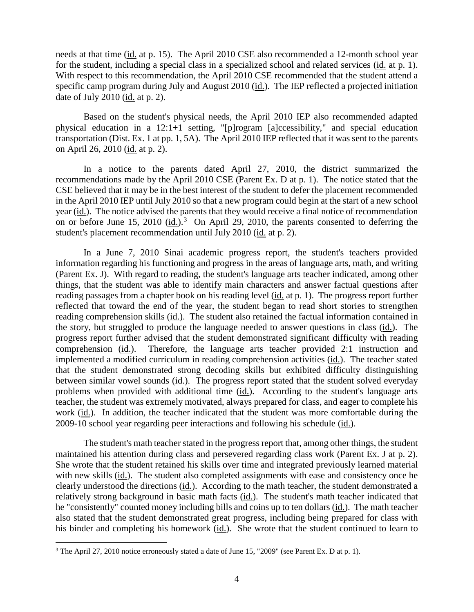needs at that time (id. at p. 15). The April 2010 CSE also recommended a 12-month school year for the student, including a special class in a specialized school and related services (id. at p. 1). With respect to this recommendation, the April 2010 CSE recommended that the student attend a specific camp program during July and August 2010 (id.). The IEP reflected a projected initiation date of July 2010 (id. at p. 2).

Based on the student's physical needs, the April 2010 IEP also recommended adapted physical education in a 12:1+1 setting, "[p]rogram [a]ccessibility," and special education transportation (Dist. Ex. 1 at pp. 1, 5A). The April 2010 IEP reflected that it was sent to the parents on April 26, 2010 (id. at p. 2).

In a notice to the parents dated April 27, 2010, the district summarized the recommendations made by the April 2010 CSE (Parent Ex. D at p. 1). The notice stated that the CSE believed that it may be in the best interest of the student to defer the placement recommended in the April 2010 IEP until July 2010 so that a new program could begin at the start of a new school year (id.). The notice advised the parents that they would receive a final notice of recommendation on or before June 15, 2010 (id.).<sup>3</sup> On April 29, 2010, the parents consented to deferring the student's placement recommendation until July 2010 (id. at p. 2).

In a June 7, 2010 Sinai academic progress report, the student's teachers provided information regarding his functioning and progress in the areas of language arts, math, and writing (Parent Ex. J). With regard to reading, the student's language arts teacher indicated, among other things, that the student was able to identify main characters and answer factual questions after reading passages from a chapter book on his reading level (id. at p. 1). The progress report further reflected that toward the end of the year, the student began to read short stories to strengthen reading comprehension skills (id.). The student also retained the factual information contained in the story, but struggled to produce the language needed to answer questions in class (id.). The progress report further advised that the student demonstrated significant difficulty with reading comprehension (id.). Therefore, the language arts teacher provided 2:1 instruction and implemented a modified curriculum in reading comprehension activities (id.). The teacher stated that the student demonstrated strong decoding skills but exhibited difficulty distinguishing between similar vowel sounds (id.). The progress report stated that the student solved everyday problems when provided with additional time (id.). According to the student's language arts teacher, the student was extremely motivated, always prepared for class, and eager to complete his work (id.). In addition, the teacher indicated that the student was more comfortable during the 2009-10 school year regarding peer interactions and following his schedule (id.).

The student's math teacher stated in the progress report that, among other things, the student maintained his attention during class and persevered regarding class work (Parent Ex. J at p. 2). She wrote that the student retained his skills over time and integrated previously learned material with new skills (id.). The student also completed assignments with ease and consistency once he clearly understood the directions (id.). According to the math teacher, the student demonstrated a relatively strong background in basic math facts (id.). The student's math teacher indicated that he "consistently" counted money including bills and coins up to ten dollars (id.). The math teacher also stated that the student demonstrated great progress, including being prepared for class with his binder and completing his homework (id.). She wrote that the student continued to learn to

<sup>&</sup>lt;sup>3</sup> The April 27, 2010 notice erroneously stated a date of June 15, "2009" (see Parent Ex. D at p. 1).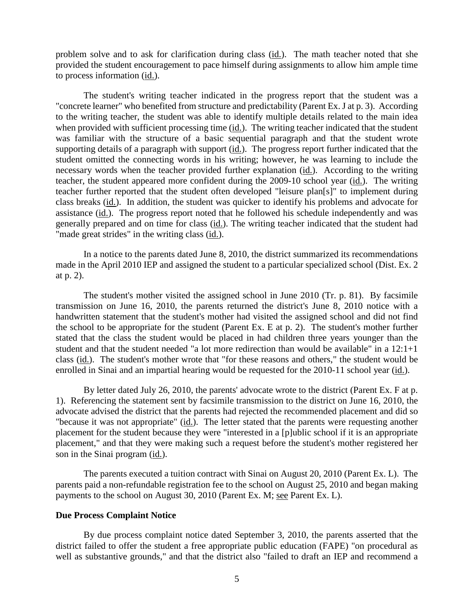problem solve and to ask for clarification during class (id.). The math teacher noted that she provided the student encouragement to pace himself during assignments to allow him ample time to process information (id.).

The student's writing teacher indicated in the progress report that the student was a "concrete learner" who benefited from structure and predictability (Parent Ex. J at p. 3). According to the writing teacher, the student was able to identify multiple details related to the main idea when provided with sufficient processing time (id.). The writing teacher indicated that the student was familiar with the structure of a basic sequential paragraph and that the student wrote supporting details of a paragraph with support (id.). The progress report further indicated that the student omitted the connecting words in his writing; however, he was learning to include the necessary words when the teacher provided further explanation (id.). According to the writing teacher, the student appeared more confident during the 2009-10 school year (id.). The writing teacher further reported that the student often developed "leisure plan[s]" to implement during class breaks (id.). In addition, the student was quicker to identify his problems and advocate for assistance (id.). The progress report noted that he followed his schedule independently and was generally prepared and on time for class (id.). The writing teacher indicated that the student had "made great strides" in the writing class (id.).

In a notice to the parents dated June 8, 2010, the district summarized its recommendations made in the April 2010 IEP and assigned the student to a particular specialized school (Dist. Ex. 2 at p. 2).

The student's mother visited the assigned school in June 2010 (Tr. p. 81). By facsimile transmission on June 16, 2010, the parents returned the district's June 8, 2010 notice with a handwritten statement that the student's mother had visited the assigned school and did not find the school to be appropriate for the student (Parent Ex. E at p. 2). The student's mother further stated that the class the student would be placed in had children three years younger than the student and that the student needed "a lot more redirection than would be available" in a 12:1+1 class (id.). The student's mother wrote that "for these reasons and others," the student would be enrolled in Sinai and an impartial hearing would be requested for the 2010-11 school year (id.).

By letter dated July 26, 2010, the parents' advocate wrote to the district (Parent Ex. F at p. 1). Referencing the statement sent by facsimile transmission to the district on June 16, 2010, the advocate advised the district that the parents had rejected the recommended placement and did so "because it was not appropriate" (id.). The letter stated that the parents were requesting another placement for the student because they were "interested in a [p]ublic school if it is an appropriate placement," and that they were making such a request before the student's mother registered her son in the Sinai program (id.).

The parents executed a tuition contract with Sinai on August 20, 2010 (Parent Ex. L). The parents paid a non-refundable registration fee to the school on August 25, 2010 and began making payments to the school on August 30, 2010 (Parent Ex. M; see Parent Ex. L).

#### **Due Process Complaint Notice**

By due process complaint notice dated September 3, 2010, the parents asserted that the district failed to offer the student a free appropriate public education (FAPE) "on procedural as well as substantive grounds," and that the district also "failed to draft an IEP and recommend a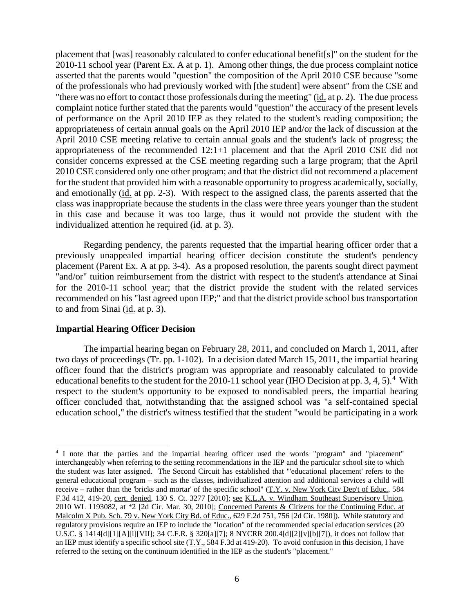placement that [was] reasonably calculated to confer educational benefit[s]" on the student for the 2010-11 school year (Parent Ex. A at p. 1). Among other things, the due process complaint notice asserted that the parents would "question" the composition of the April 2010 CSE because "some of the professionals who had previously worked with [the student] were absent" from the CSE and "there was no effort to contact those professionals during the meeting" (id. at p. 2). The due process complaint notice further stated that the parents would "question" the accuracy of the present levels of performance on the April 2010 IEP as they related to the student's reading composition; the appropriateness of certain annual goals on the April 2010 IEP and/or the lack of discussion at the April 2010 CSE meeting relative to certain annual goals and the student's lack of progress; the appropriateness of the recommended 12:1+1 placement and that the April 2010 CSE did not consider concerns expressed at the CSE meeting regarding such a large program; that the April 2010 CSE considered only one other program; and that the district did not recommend a placement for the student that provided him with a reasonable opportunity to progress academically, socially, and emotionally (id. at pp. 2-3). With respect to the assigned class, the parents asserted that the class was inappropriate because the students in the class were three years younger than the student in this case and because it was too large, thus it would not provide the student with the individualized attention he required (id. at p. 3).

Regarding pendency, the parents requested that the impartial hearing officer order that a previously unappealed impartial hearing officer decision constitute the student's pendency placement (Parent Ex. A at pp. 3-4). As a proposed resolution, the parents sought direct payment "and/or" tuition reimbursement from the district with respect to the student's attendance at Sinai for the 2010-11 school year; that the district provide the student with the related services recommended on his "last agreed upon IEP;" and that the district provide school bus transportation to and from Sinai (id. at p. 3).

#### **Impartial Hearing Officer Decision**

The impartial hearing began on February 28, 2011, and concluded on March 1, 2011, after two days of proceedings (Tr. pp. 1-102). In a decision dated March 15, 2011, the impartial hearing officer found that the district's program was appropriate and reasonably calculated to provide educational benefits to the student for the 2010-11 school year (IHO Decision at pp. 3, 4, 5).<sup>4</sup> With respect to the student's opportunity to be exposed to nondisabled peers, the impartial hearing officer concluded that, notwithstanding that the assigned school was "a self-contained special education school," the district's witness testified that the student "would be participating in a work

 <sup>4</sup> I note that the parties and the impartial hearing officer used the words "program" and "placement" interchangeably when referring to the setting recommendations in the IEP and the particular school site to which the student was later assigned. The Second Circuit has established that "'educational placement' refers to the general educational program – such as the classes, individualized attention and additional services a child will receive – rather than the 'bricks and mortar' of the specific school"  $(T.Y. v. New York City Dep't of Educ., 584$ F.3d 412, 419-20, cert. denied, 130 S. Ct. 3277 [2010]; see K.L.A. v. Windham Southeast Supervisory Union, 2010 WL 1193082, at \*2 [2d Cir. Mar. 30, 2010]; Concerned Parents & Citizens for the Continuing Educ. at Malcolm X Pub. Sch. 79 v. New York City Bd. of Educ., 629 F.2d 751, 756 [2d Cir. 1980]). While statutory and regulatory provisions require an IEP to include the "location" of the recommended special education services (20 U.S.C. § 1414[d][1][A][i][VII]; 34 C.F.R. § 320[a][7]; 8 NYCRR 200.4[d][2][v][b][7]), it does not follow that an IEP must identify a specific school site (T.Y., 584 F.3d at 419-20). To avoid confusion in this decision, I have referred to the setting on the continuum identified in the IEP as the student's "placement."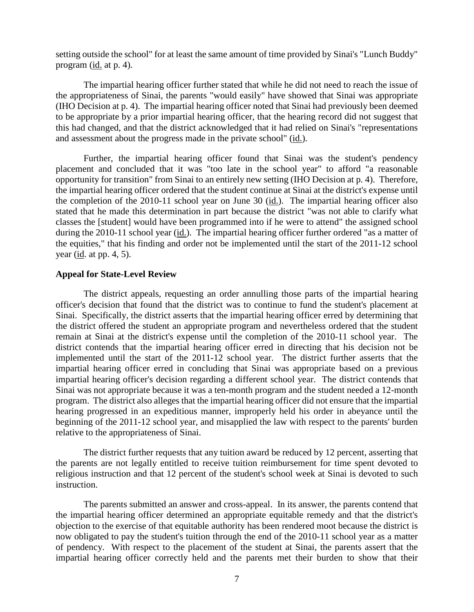setting outside the school" for at least the same amount of time provided by Sinai's "Lunch Buddy" program (id. at p. 4).

The impartial hearing officer further stated that while he did not need to reach the issue of the appropriateness of Sinai, the parents "would easily" have showed that Sinai was appropriate (IHO Decision at p. 4). The impartial hearing officer noted that Sinai had previously been deemed to be appropriate by a prior impartial hearing officer, that the hearing record did not suggest that this had changed, and that the district acknowledged that it had relied on Sinai's "representations and assessment about the progress made in the private school" (id.).

Further, the impartial hearing officer found that Sinai was the student's pendency placement and concluded that it was "too late in the school year" to afford "a reasonable opportunity for transition" from Sinai to an entirely new setting (IHO Decision at p. 4). Therefore, the impartial hearing officer ordered that the student continue at Sinai at the district's expense until the completion of the 2010-11 school year on June 30 (id.). The impartial hearing officer also stated that he made this determination in part because the district "was not able to clarify what classes the [student] would have been programmed into if he were to attend" the assigned school during the 2010-11 school year (id.). The impartial hearing officer further ordered "as a matter of the equities," that his finding and order not be implemented until the start of the 2011-12 school year (id. at pp. 4, 5).

#### **Appeal for State-Level Review**

The district appeals, requesting an order annulling those parts of the impartial hearing officer's decision that found that the district was to continue to fund the student's placement at Sinai. Specifically, the district asserts that the impartial hearing officer erred by determining that the district offered the student an appropriate program and nevertheless ordered that the student remain at Sinai at the district's expense until the completion of the 2010-11 school year. The district contends that the impartial hearing officer erred in directing that his decision not be implemented until the start of the 2011-12 school year. The district further asserts that the impartial hearing officer erred in concluding that Sinai was appropriate based on a previous impartial hearing officer's decision regarding a different school year. The district contends that Sinai was not appropriate because it was a ten-month program and the student needed a 12-month program. The district also alleges that the impartial hearing officer did not ensure that the impartial hearing progressed in an expeditious manner, improperly held his order in abeyance until the beginning of the 2011-12 school year, and misapplied the law with respect to the parents' burden relative to the appropriateness of Sinai.

The district further requests that any tuition award be reduced by 12 percent, asserting that the parents are not legally entitled to receive tuition reimbursement for time spent devoted to religious instruction and that 12 percent of the student's school week at Sinai is devoted to such instruction.

The parents submitted an answer and cross-appeal. In its answer, the parents contend that the impartial hearing officer determined an appropriate equitable remedy and that the district's objection to the exercise of that equitable authority has been rendered moot because the district is now obligated to pay the student's tuition through the end of the 2010-11 school year as a matter of pendency. With respect to the placement of the student at Sinai, the parents assert that the impartial hearing officer correctly held and the parents met their burden to show that their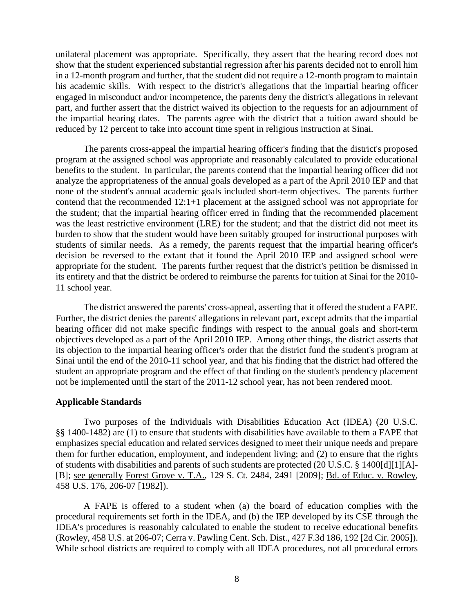unilateral placement was appropriate. Specifically, they assert that the hearing record does not show that the student experienced substantial regression after his parents decided not to enroll him in a 12-month program and further, that the student did not require a 12-month program to maintain his academic skills. With respect to the district's allegations that the impartial hearing officer engaged in misconduct and/or incompetence, the parents deny the district's allegations in relevant part, and further assert that the district waived its objection to the requests for an adjournment of the impartial hearing dates. The parents agree with the district that a tuition award should be reduced by 12 percent to take into account time spent in religious instruction at Sinai.

The parents cross-appeal the impartial hearing officer's finding that the district's proposed program at the assigned school was appropriate and reasonably calculated to provide educational benefits to the student. In particular, the parents contend that the impartial hearing officer did not analyze the appropriateness of the annual goals developed as a part of the April 2010 IEP and that none of the student's annual academic goals included short-term objectives. The parents further contend that the recommended 12:1+1 placement at the assigned school was not appropriate for the student; that the impartial hearing officer erred in finding that the recommended placement was the least restrictive environment (LRE) for the student; and that the district did not meet its burden to show that the student would have been suitably grouped for instructional purposes with students of similar needs. As a remedy, the parents request that the impartial hearing officer's decision be reversed to the extant that it found the April 2010 IEP and assigned school were appropriate for the student. The parents further request that the district's petition be dismissed in its entirety and that the district be ordered to reimburse the parents for tuition at Sinai for the 2010- 11 school year.

The district answered the parents' cross-appeal, asserting that it offered the student a FAPE. Further, the district denies the parents' allegations in relevant part, except admits that the impartial hearing officer did not make specific findings with respect to the annual goals and short-term objectives developed as a part of the April 2010 IEP. Among other things, the district asserts that its objection to the impartial hearing officer's order that the district fund the student's program at Sinai until the end of the 2010-11 school year, and that his finding that the district had offered the student an appropriate program and the effect of that finding on the student's pendency placement not be implemented until the start of the 2011-12 school year, has not been rendered moot.

#### **Applicable Standards**

Two purposes of the Individuals with Disabilities Education Act (IDEA) (20 U.S.C. §§ 1400-1482) are (1) to ensure that students with disabilities have available to them a FAPE that emphasizes special education and related services designed to meet their unique needs and prepare them for further education, employment, and independent living; and (2) to ensure that the rights of students with disabilities and parents of such students are protected (20 U.S.C. § 1400[d][1][A]- [B]; see generally Forest Grove v. T.A., 129 S. Ct. 2484, 2491 [2009]; Bd. of Educ. v. Rowley, 458 U.S. 176, 206-07 [1982]).

A FAPE is offered to a student when (a) the board of education complies with the procedural requirements set forth in the IDEA, and (b) the IEP developed by its CSE through the IDEA's procedures is reasonably calculated to enable the student to receive educational benefits (Rowley, 458 U.S. at 206-07; Cerra v. Pawling Cent. Sch. Dist., 427 F.3d 186, 192 [2d Cir. 2005]). While school districts are required to comply with all IDEA procedures, not all procedural errors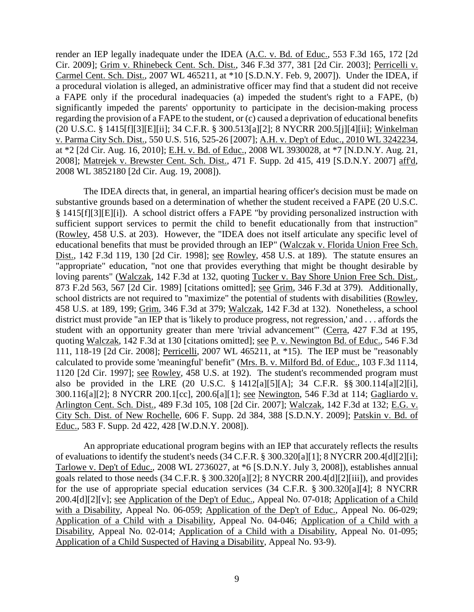render an IEP legally inadequate under the IDEA (A.C. v. Bd. of Educ., 553 F.3d 165, 172 [2d Cir. 2009]; Grim v. Rhinebeck Cent. Sch. Dist., 346 F.3d 377, 381 [2d Cir. 2003]; Perricelli v. Carmel Cent. Sch. Dist., 2007 WL 465211, at \*10 [S.D.N.Y. Feb. 9, 2007]). Under the IDEA, if a procedural violation is alleged, an administrative officer may find that a student did not receive a FAPE only if the procedural inadequacies (a) impeded the student's right to a FAPE, (b) significantly impeded the parents' opportunity to participate in the decision-making process regarding the provision of a FAPE to the student, or (c) caused a deprivation of educational benefits (20 U.S.C. § 1415[f][3][E][ii]; 34 C.F.R. § 300.513[a][2]; 8 NYCRR 200.5[j][4][ii]; Winkelman v. Parma City Sch. Dist., 550 U.S. 516, 525-26 [2007]; A.H. v. Dep't of Educ., 2010 WL 3242234, at \*2 [2d Cir. Aug. 16, 2010]; E.H. v. Bd. of Educ., 2008 WL 3930028, at \*7 [N.D.N.Y. Aug. 21, 2008]; Matrejek v. Brewster Cent. Sch. Dist., 471 F. Supp. 2d 415, 419 [S.D.N.Y. 2007] aff'd, 2008 WL 3852180 [2d Cir. Aug. 19, 2008]).

The IDEA directs that, in general, an impartial hearing officer's decision must be made on substantive grounds based on a determination of whether the student received a FAPE (20 U.S.C. § 1415[f][3][E][i]). A school district offers a FAPE "by providing personalized instruction with sufficient support services to permit the child to benefit educationally from that instruction" (Rowley, 458 U.S. at 203). However, the "IDEA does not itself articulate any specific level of educational benefits that must be provided through an IEP" (Walczak v. Florida Union Free Sch. Dist., 142 F.3d 119, 130 [2d Cir. 1998]; see Rowley, 458 U.S. at 189). The statute ensures an "appropriate" education, "not one that provides everything that might be thought desirable by loving parents" (Walczak, 142 F.3d at 132, quoting Tucker v. Bay Shore Union Free Sch. Dist., 873 F.2d 563, 567 [2d Cir. 1989] [citations omitted]; see Grim, 346 F.3d at 379). Additionally, school districts are not required to "maximize" the potential of students with disabilities (Rowley, 458 U.S. at 189, 199; Grim, 346 F.3d at 379; Walczak, 142 F.3d at 132). Nonetheless, a school district must provide "an IEP that is 'likely to produce progress, not regression,' and . . . affords the student with an opportunity greater than mere 'trivial advancement'" (Cerra, 427 F.3d at 195, quoting Walczak, 142 F.3d at 130 [citations omitted]; see P. v. Newington Bd. of Educ., 546 F.3d 111, 118-19 [2d Cir. 2008]; Perricelli, 2007 WL 465211, at \*15). The IEP must be "reasonably calculated to provide some 'meaningful' benefit" (Mrs. B. v. Milford Bd. of Educ., 103 F.3d 1114, 1120 [2d Cir. 1997]; see Rowley, 458 U.S. at 192). The student's recommended program must also be provided in the LRE (20 U.S.C. § 1412[a][5][A]; 34 C.F.R. §§ 300.114[a][2][i], 300.116[a][2]; 8 NYCRR 200.1[cc], 200.6[a][1]; see Newington, 546 F.3d at 114; Gagliardo v. Arlington Cent. Sch. Dist., 489 F.3d 105, 108 [2d Cir. 2007]; Walczak, 142 F.3d at 132; E.G. v. City Sch. Dist. of New Rochelle, 606 F. Supp. 2d 384, 388 [S.D.N.Y. 2009]; Patskin v. Bd. of Educ., 583 F. Supp. 2d 422, 428 [W.D.N.Y. 2008]).

An appropriate educational program begins with an IEP that accurately reflects the results of evaluations to identify the student's needs (34 C.F.R. § 300.320[a][1]; 8 NYCRR 200.4[d][2][i]; Tarlowe v. Dep't of Educ., 2008 WL 2736027, at \*6 [S.D.N.Y. July 3, 2008]), establishes annual goals related to those needs (34 C.F.R. § 300.320[a][2]; 8 NYCRR 200.4[d][2][iii]), and provides for the use of appropriate special education services (34 C.F.R. § 300.320[a][4]; 8 NYCRR 200.4[d][2][v]; see Application of the Dep't of Educ., Appeal No. 07-018; Application of a Child with a Disability, Appeal No. 06-059; Application of the Dep't of Educ., Appeal No. 06-029; Application of a Child with a Disability, Appeal No. 04-046; Application of a Child with a Disability, Appeal No. 02-014; Application of a Child with a Disability, Appeal No. 01-095; Application of a Child Suspected of Having a Disability, Appeal No. 93-9).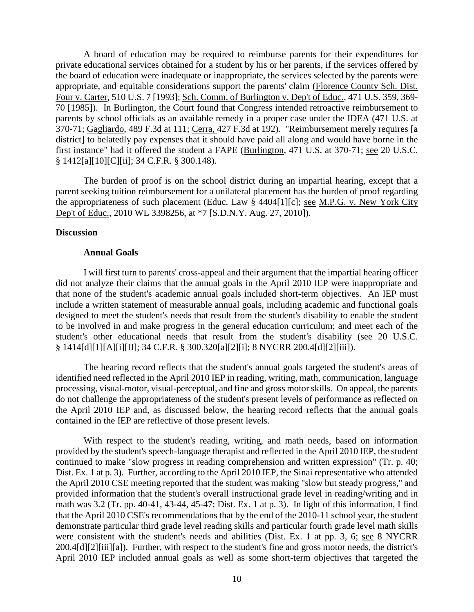A board of education may be required to reimburse parents for their expenditures for private educational services obtained for a student by his or her parents, if the services offered by the board of education were inadequate or inappropriate, the services selected by the parents were appropriate, and equitable considerations support the parents' claim (Florence County Sch. Dist. Four v. Carter, 510 U.S. 7 [1993]; Sch. Comm. of Burlington v. Dep't of Educ., 471 U.S. 359, 369- 70 [1985]). In Burlington, the Court found that Congress intended retroactive reimbursement to parents by school officials as an available remedy in a proper case under the IDEA (471 U.S. at 370-71; Gagliardo, 489 F.3d at 111; Cerra, 427 F.3d at 192). "Reimbursement merely requires [a district] to belatedly pay expenses that it should have paid all along and would have borne in the first instance" had it offered the student a FAPE (Burlington, 471 U.S. at 370-71; see 20 U.S.C. § 1412[a][10][C][ii]; 34 C.F.R. § 300.148).

The burden of proof is on the school district during an impartial hearing, except that a parent seeking tuition reimbursement for a unilateral placement has the burden of proof regarding the appropriateness of such placement (Educ. Law  $\frac{8}{9}$  4404[1][c]; <u>see M.P.G. v. New York City</u> Dep't of Educ., 2010 WL 3398256, at \*7 [S.D.N.Y. Aug. 27, 2010]).

#### **Discussion**

#### **Annual Goals**

I will first turn to parents' cross-appeal and their argument that the impartial hearing officer did not analyze their claims that the annual goals in the April 2010 IEP were inappropriate and that none of the student's academic annual goals included short-term objectives. An IEP must include a written statement of measurable annual goals, including academic and functional goals designed to meet the student's needs that result from the student's disability to enable the student to be involved in and make progress in the general education curriculum; and meet each of the student's other educational needs that result from the student's disability (see 20 U.S.C. § 1414[d][1][A][i][II]; 34 C.F.R. § 300.320[a][2][i]; 8 NYCRR 200.4[d][2][iii]).

The hearing record reflects that the student's annual goals targeted the student's areas of identified need reflected in the April 2010 IEP in reading, writing, math, communication, language processing, visual-motor, visual-perceptual, and fine and gross motor skills. On appeal, the parents do not challenge the appropriateness of the student's present levels of performance as reflected on the April 2010 IEP and, as discussed below, the hearing record reflects that the annual goals contained in the IEP are reflective of those present levels.

With respect to the student's reading, writing, and math needs, based on information provided by the student's speech-language therapist and reflected in the April 2010 IEP, the student continued to make "slow progress in reading comprehension and written expression" (Tr. p. 40; Dist. Ex. 1 at p. 3). Further, according to the April 2010 IEP, the Sinai representative who attended the April 2010 CSE meeting reported that the student was making "slow but steady progress," and provided information that the student's overall instructional grade level in reading/writing and in math was 3.2 (Tr. pp. 40-41, 43-44, 45-47; Dist. Ex. 1 at p. 3). In light of this information, I find that the April 2010 CSE's recommendations that by the end of the 2010-11 school year, the student demonstrate particular third grade level reading skills and particular fourth grade level math skills were consistent with the student's needs and abilities (Dist. Ex. 1 at pp. 3, 6; see 8 NYCRR 200.4[d][2][iii][a]). Further, with respect to the student's fine and gross motor needs, the district's April 2010 IEP included annual goals as well as some short-term objectives that targeted the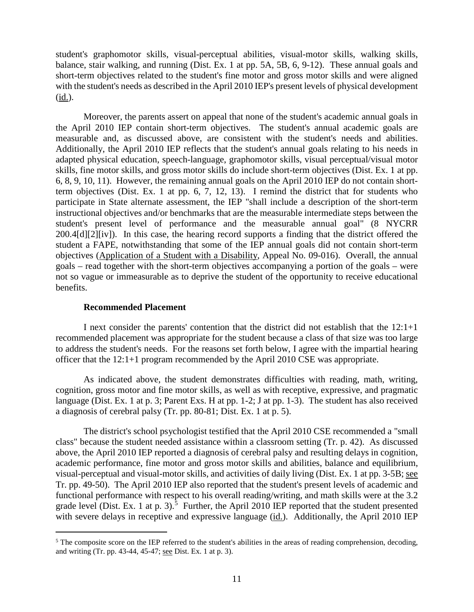student's graphomotor skills, visual-perceptual abilities, visual-motor skills, walking skills, balance, stair walking, and running (Dist. Ex. 1 at pp. 5A, 5B, 6, 9-12). These annual goals and short-term objectives related to the student's fine motor and gross motor skills and were aligned with the student's needs as described in the April 2010 IEP's present levels of physical development (id.).

Moreover, the parents assert on appeal that none of the student's academic annual goals in the April 2010 IEP contain short-term objectives. The student's annual academic goals are measurable and, as discussed above, are consistent with the student's needs and abilities. Additionally, the April 2010 IEP reflects that the student's annual goals relating to his needs in adapted physical education, speech-language, graphomotor skills, visual perceptual/visual motor skills, fine motor skills, and gross motor skills do include short-term objectives (Dist. Ex. 1 at pp. 6, 8, 9, 10, 11). However, the remaining annual goals on the April 2010 IEP do not contain shortterm objectives (Dist. Ex. 1 at pp. 6, 7, 12, 13). I remind the district that for students who participate in State alternate assessment, the IEP "shall include a description of the short-term instructional objectives and/or benchmarks that are the measurable intermediate steps between the student's present level of performance and the measurable annual goal" (8 NYCRR 200.4[d][2][iv]). In this case, the hearing record supports a finding that the district offered the student a FAPE, notwithstanding that some of the IEP annual goals did not contain short-term objectives (Application of a Student with a Disability, Appeal No. 09-016). Overall, the annual goals – read together with the short-term objectives accompanying a portion of the goals – were not so vague or immeasurable as to deprive the student of the opportunity to receive educational benefits.

#### **Recommended Placement**

I next consider the parents' contention that the district did not establish that the 12:1+1 recommended placement was appropriate for the student because a class of that size was too large to address the student's needs. For the reasons set forth below, I agree with the impartial hearing officer that the 12:1+1 program recommended by the April 2010 CSE was appropriate.

As indicated above, the student demonstrates difficulties with reading, math, writing, cognition, gross motor and fine motor skills, as well as with receptive, expressive, and pragmatic language (Dist. Ex. 1 at p. 3; Parent Exs. H at pp. 1-2; J at pp. 1-3). The student has also received a diagnosis of cerebral palsy (Tr. pp. 80-81; Dist. Ex. 1 at p. 5).

The district's school psychologist testified that the April 2010 CSE recommended a "small class" because the student needed assistance within a classroom setting (Tr. p. 42). As discussed above, the April 2010 IEP reported a diagnosis of cerebral palsy and resulting delays in cognition, academic performance, fine motor and gross motor skills and abilities, balance and equilibrium, visual-perceptual and visual-motor skills, and activities of daily living (Dist. Ex. 1 at pp. 3-5B; see Tr. pp. 49-50). The April 2010 IEP also reported that the student's present levels of academic and functional performance with respect to his overall reading/writing, and math skills were at the 3.2 grade level (Dist. Ex. 1 at p. 3).<sup>5</sup> Further, the April 2010 IEP reported that the student presented with severe delays in receptive and expressive language (id.). Additionally, the April 2010 IEP

 $<sup>5</sup>$  The composite score on the IEP referred to the student's abilities in the areas of reading comprehension, decoding,</sup> and writing (Tr. pp. 43-44, 45-47; see Dist. Ex. 1 at p. 3).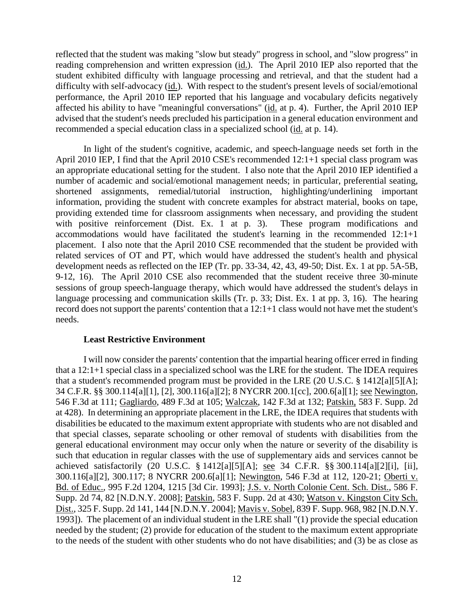reflected that the student was making "slow but steady" progress in school, and "slow progress" in reading comprehension and written expression (id.). The April 2010 IEP also reported that the student exhibited difficulty with language processing and retrieval, and that the student had a difficulty with self-advocacy (id.). With respect to the student's present levels of social/emotional performance, the April 2010 IEP reported that his language and vocabulary deficits negatively affected his ability to have "meaningful conversations" (id. at p. 4). Further, the April 2010 IEP advised that the student's needs precluded his participation in a general education environment and recommended a special education class in a specialized school (id. at p. 14).

In light of the student's cognitive, academic, and speech-language needs set forth in the April 2010 IEP, I find that the April 2010 CSE's recommended 12:1+1 special class program was an appropriate educational setting for the student. I also note that the April 2010 IEP identified a number of academic and social/emotional management needs; in particular, preferential seating, shortened assignments, remedial/tutorial instruction, highlighting/underlining important information, providing the student with concrete examples for abstract material, books on tape, providing extended time for classroom assignments when necessary, and providing the student with positive reinforcement (Dist. Ex. 1 at p. 3). These program modifications and accommodations would have facilitated the student's learning in the recommended 12:1+1 placement. I also note that the April 2010 CSE recommended that the student be provided with related services of OT and PT, which would have addressed the student's health and physical development needs as reflected on the IEP (Tr. pp. 33-34, 42, 43, 49-50; Dist. Ex. 1 at pp. 5A-5B, 9-12, 16). The April 2010 CSE also recommended that the student receive three 30-minute sessions of group speech-language therapy, which would have addressed the student's delays in language processing and communication skills (Tr. p. 33; Dist. Ex. 1 at pp. 3, 16). The hearing record does not support the parents' contention that a 12:1+1 class would not have met the student's needs.

# **Least Restrictive Environment**

I will now consider the parents' contention that the impartial hearing officer erred in finding that a 12:1+1 special class in a specialized school was the LRE for the student. The IDEA requires that a student's recommended program must be provided in the LRE (20 U.S.C. § 1412[a][5][A]; 34 C.F.R. §§ 300.114[a][1], [2], 300.116[a][2]; 8 NYCRR 200.1[cc], 200.6[a][1]; see Newington, 546 F.3d at 111; Gagliardo, 489 F.3d at 105; Walczak, 142 F.3d at 132; Patskin, 583 F. Supp. 2d at 428). In determining an appropriate placement in the LRE, the IDEA requires that students with disabilities be educated to the maximum extent appropriate with students who are not disabled and that special classes, separate schooling or other removal of students with disabilities from the general educational environment may occur only when the nature or severity of the disability is such that education in regular classes with the use of supplementary aids and services cannot be achieved satisfactorily (20 U.S.C. § 1412[a][5][A]; see 34 C.F.R. §§ 300.114[a][2][i], [ii], 300.116[a][2], 300.117; 8 NYCRR 200.6[a][1]; Newington, 546 F.3d at 112, 120-21; Oberti v. Bd. of Educ., 995 F.2d 1204, 1215 [3d Cir. 1993]; J.S. v. North Colonie Cent. Sch. Dist., 586 F. Supp. 2d 74, 82 [N.D.N.Y. 2008]; Patskin, 583 F. Supp. 2d at 430; Watson v. Kingston City Sch. Dist., 325 F. Supp. 2d 141, 144 [N.D.N.Y. 2004]; Mavis v. Sobel, 839 F. Supp. 968, 982 [N.D.N.Y. 1993]). The placement of an individual student in the LRE shall "(1) provide the special education needed by the student; (2) provide for education of the student to the maximum extent appropriate to the needs of the student with other students who do not have disabilities; and (3) be as close as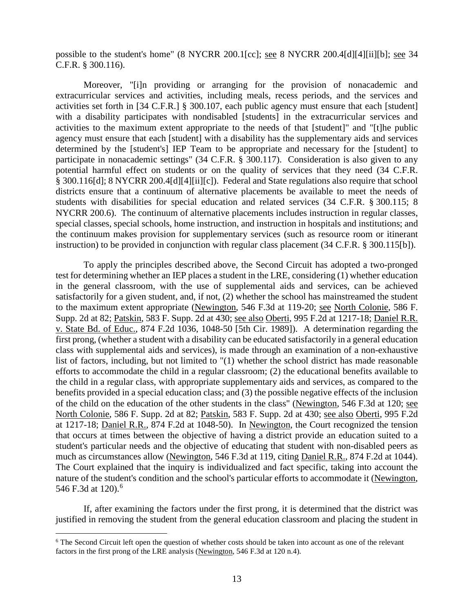possible to the student's home" (8 NYCRR 200.1[cc]; see 8 NYCRR 200.4[d][4][ii][b]; see 34 C.F.R. § 300.116).

Moreover, "[i]n providing or arranging for the provision of nonacademic and extracurricular services and activities, including meals, recess periods, and the services and activities set forth in [34 C.F.R.] § 300.107, each public agency must ensure that each [student] with a disability participates with nondisabled [students] in the extracurricular services and activities to the maximum extent appropriate to the needs of that [student]" and "[t]he public agency must ensure that each [student] with a disability has the supplementary aids and services determined by the [student's] IEP Team to be appropriate and necessary for the [student] to participate in nonacademic settings" (34 C.F.R. § 300.117). Consideration is also given to any potential harmful effect on students or on the quality of services that they need (34 C.F.R. § 300.116[d]; 8 NYCRR 200.4[d][4][ii][c]). Federal and State regulations also require that school districts ensure that a continuum of alternative placements be available to meet the needs of students with disabilities for special education and related services (34 C.F.R. § 300.115; 8 NYCRR 200.6). The continuum of alternative placements includes instruction in regular classes, special classes, special schools, home instruction, and instruction in hospitals and institutions; and the continuum makes provision for supplementary services (such as resource room or itinerant instruction) to be provided in conjunction with regular class placement (34 C.F.R. § 300.115[b]).

To apply the principles described above, the Second Circuit has adopted a two-pronged test for determining whether an IEP places a student in the LRE, considering (1) whether education in the general classroom, with the use of supplemental aids and services, can be achieved satisfactorily for a given student, and, if not, (2) whether the school has mainstreamed the student to the maximum extent appropriate (Newington, 546 F.3d at 119-20; see North Colonie, 586 F. Supp. 2d at 82; Patskin, 583 F. Supp. 2d at 430; see also Oberti, 995 F.2d at 1217-18; Daniel R.R. v. State Bd. of Educ., 874 F.2d 1036, 1048-50 [5th Cir. 1989]). A determination regarding the first prong, (whether a student with a disability can be educated satisfactorily in a general education class with supplemental aids and services), is made through an examination of a non-exhaustive list of factors, including, but not limited to "(1) whether the school district has made reasonable efforts to accommodate the child in a regular classroom; (2) the educational benefits available to the child in a regular class, with appropriate supplementary aids and services, as compared to the benefits provided in a special education class; and (3) the possible negative effects of the inclusion of the child on the education of the other students in the class" (Newington, 546 F.3d at 120; see North Colonie, 586 F. Supp. 2d at 82; Patskin, 583 F. Supp. 2d at 430; see also Oberti, 995 F.2d at 1217-18; Daniel R.R., 874 F.2d at 1048-50). In Newington, the Court recognized the tension that occurs at times between the objective of having a district provide an education suited to a student's particular needs and the objective of educating that student with non-disabled peers as much as circumstances allow (Newington, 546 F.3d at 119, citing Daniel R.R., 874 F.2d at 1044). The Court explained that the inquiry is individualized and fact specific, taking into account the nature of the student's condition and the school's particular efforts to accommodate it (Newington, 546 F.3d at 120).<sup>6</sup>

If, after examining the factors under the first prong, it is determined that the district was justified in removing the student from the general education classroom and placing the student in

<sup>&</sup>lt;sup>6</sup> The Second Circuit left open the question of whether costs should be taken into account as one of the relevant factors in the first prong of the LRE analysis (Newington, 546 F.3d at 120 n.4).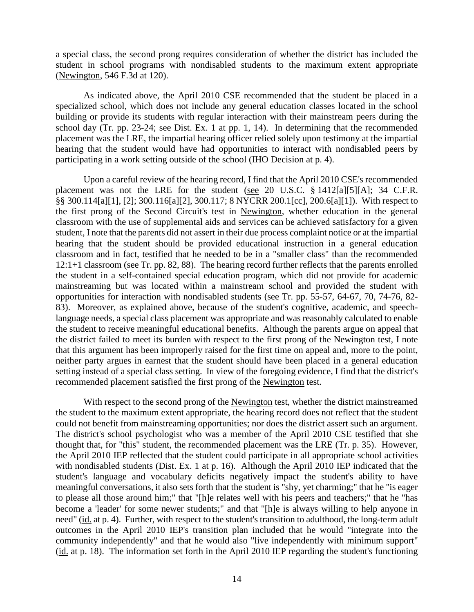a special class, the second prong requires consideration of whether the district has included the student in school programs with nondisabled students to the maximum extent appropriate (Newington, 546 F.3d at 120).

As indicated above, the April 2010 CSE recommended that the student be placed in a specialized school, which does not include any general education classes located in the school building or provide its students with regular interaction with their mainstream peers during the school day (Tr. pp. 23-24; see Dist. Ex. 1 at pp. 1, 14). In determining that the recommended placement was the LRE, the impartial hearing officer relied solely upon testimony at the impartial hearing that the student would have had opportunities to interact with nondisabled peers by participating in a work setting outside of the school (IHO Decision at p. 4).

Upon a careful review of the hearing record, I find that the April 2010 CSE's recommended placement was not the LRE for the student (see 20 U.S.C. § 1412[a][5][A]; 34 C.F.R. §§ 300.114[a][1], [2]; 300.116[a][2], 300.117; 8 NYCRR 200.1[cc], 200.6[a][1]). With respect to the first prong of the Second Circuit's test in Newington, whether education in the general classroom with the use of supplemental aids and services can be achieved satisfactory for a given student, I note that the parents did not assert in their due process complaint notice or at the impartial hearing that the student should be provided educational instruction in a general education classroom and in fact, testified that he needed to be in a "smaller class" than the recommended 12:1+1 classroom (see Tr. pp. 82, 88). The hearing record further reflects that the parents enrolled the student in a self-contained special education program, which did not provide for academic mainstreaming but was located within a mainstream school and provided the student with opportunities for interaction with nondisabled students (see Tr. pp. 55-57, 64-67, 70, 74-76, 82- 83). Moreover, as explained above, because of the student's cognitive, academic, and speechlanguage needs, a special class placement was appropriate and was reasonably calculated to enable the student to receive meaningful educational benefits. Although the parents argue on appeal that the district failed to meet its burden with respect to the first prong of the Newington test, I note that this argument has been improperly raised for the first time on appeal and, more to the point, neither party argues in earnest that the student should have been placed in a general education setting instead of a special class setting. In view of the foregoing evidence, I find that the district's recommended placement satisfied the first prong of the Newington test.

With respect to the second prong of the Newington test, whether the district mainstreamed the student to the maximum extent appropriate, the hearing record does not reflect that the student could not benefit from mainstreaming opportunities; nor does the district assert such an argument. The district's school psychologist who was a member of the April 2010 CSE testified that she thought that, for "this" student, the recommended placement was the LRE (Tr. p. 35). However, the April 2010 IEP reflected that the student could participate in all appropriate school activities with nondisabled students (Dist. Ex. 1 at p. 16). Although the April 2010 IEP indicated that the student's language and vocabulary deficits negatively impact the student's ability to have meaningful conversations, it also sets forth that the student is "shy, yet charming;" that he "is eager to please all those around him;" that "[h]e relates well with his peers and teachers;" that he "has become a 'leader' for some newer students;" and that "[h]e is always willing to help anyone in need" (id. at p. 4). Further, with respect to the student's transition to adulthood, the long-term adult outcomes in the April 2010 IEP's transition plan included that he would "integrate into the community independently" and that he would also "live independently with minimum support" (id. at p. 18). The information set forth in the April 2010 IEP regarding the student's functioning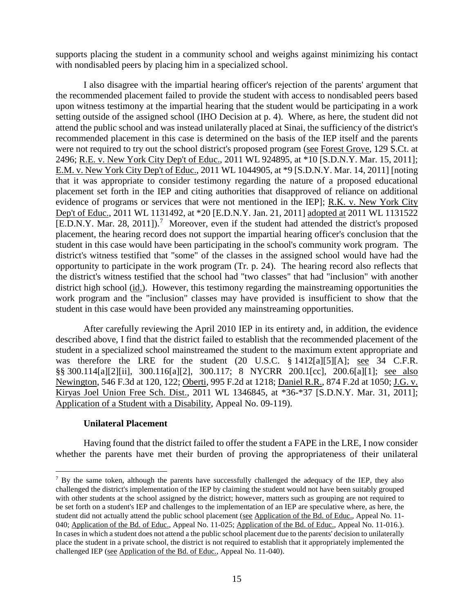supports placing the student in a community school and weighs against minimizing his contact with nondisabled peers by placing him in a specialized school.

I also disagree with the impartial hearing officer's rejection of the parents' argument that the recommended placement failed to provide the student with access to nondisabled peers based upon witness testimony at the impartial hearing that the student would be participating in a work setting outside of the assigned school (IHO Decision at p. 4). Where, as here, the student did not attend the public school and was instead unilaterally placed at Sinai, the sufficiency of the district's recommended placement in this case is determined on the basis of the IEP itself and the parents were not required to try out the school district's proposed program (see Forest Grove, 129 S.Ct. at 2496; R.E. v. New York City Dep't of Educ., 2011 WL 924895, at \*10 [S.D.N.Y. Mar. 15, 2011]; E.M. v. New York City Dep't of Educ., 2011 WL 1044905, at \*9 [S.D.N.Y. Mar. 14, 2011] [noting that it was appropriate to consider testimony regarding the nature of a proposed educational placement set forth in the IEP and citing authorities that disapproved of reliance on additional evidence of programs or services that were not mentioned in the IEP]; R.K. v. New York City Dep't of Educ., 2011 WL 1131492, at \*20 [E.D.N.Y. Jan. 21, 2011] adopted at 2011 WL 1131522  $[ED.N.Y. Mar. 28, 2011].$ <sup>7</sup> Moreover, even if the student had attended the district's proposed placement, the hearing record does not support the impartial hearing officer's conclusion that the student in this case would have been participating in the school's community work program. The district's witness testified that "some" of the classes in the assigned school would have had the opportunity to participate in the work program (Tr. p. 24). The hearing record also reflects that the district's witness testified that the school had "two classes" that had "inclusion" with another district high school (id.). However, this testimony regarding the mainstreaming opportunities the work program and the "inclusion" classes may have provided is insufficient to show that the student in this case would have been provided any mainstreaming opportunities.

After carefully reviewing the April 2010 IEP in its entirety and, in addition, the evidence described above, I find that the district failed to establish that the recommended placement of the student in a specialized school mainstreamed the student to the maximum extent appropriate and was therefore the LRE for the student (20 U.S.C. § 1412[a][5][A]; see 34 C.F.R. §§ 300.114[a][2][ii], 300.116[a][2], 300.117; 8 NYCRR 200.1[cc], 200.6[a][1]; see also Newington, 546 F.3d at 120, 122; Oberti, 995 F.2d at 1218; Daniel R.R., 874 F.2d at 1050; J.G. v. Kiryas Joel Union Free Sch. Dist., 2011 WL 1346845, at \*36-\*37 [S.D.N.Y. Mar. 31, 2011]; Application of a Student with a Disability, Appeal No. 09-119).

# **Unilateral Placement**

Having found that the district failed to offer the student a FAPE in the LRE, I now consider whether the parents have met their burden of proving the appropriateness of their unilateral

<sup>&</sup>lt;sup>7</sup> By the same token, although the parents have successfully challenged the adequacy of the IEP, they also challenged the district's implementation of the IEP by claiming the student would not have been suitably grouped with other students at the school assigned by the district; however, matters such as grouping are not required to be set forth on a student's IEP and challenges to the implementation of an IEP are speculative where, as here, the student did not actually attend the public school placement (see Application of the Bd. of Educ., Appeal No. 11- 040; Application of the Bd. of Educ., Appeal No. 11-025; Application of the Bd. of Educ., Appeal No. 11-016.). In cases in which a student does not attend a the public school placement due to the parents' decision to unilaterally place the student in a private school, the district is not required to establish that it appropriately implemented the challenged IEP (see Application of the Bd. of Educ., Appeal No. 11-040).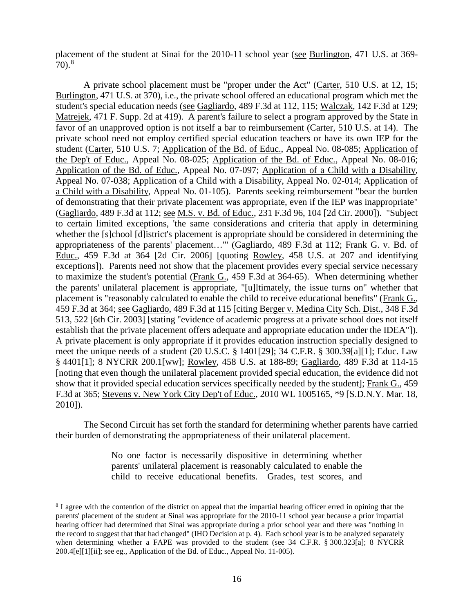placement of the student at Sinai for the 2010-11 school year (see Burlington, 471 U.S. at 369-  $70$ ).<sup>8</sup>

A private school placement must be "proper under the Act" (Carter, 510 U.S. at 12, 15; Burlington, 471 U.S. at 370), i.e., the private school offered an educational program which met the student's special education needs (see Gagliardo, 489 F.3d at 112, 115; Walczak, 142 F.3d at 129; Matrejek, 471 F. Supp. 2d at 419). A parent's failure to select a program approved by the State in favor of an unapproved option is not itself a bar to reimbursement (Carter, 510 U.S. at 14). The private school need not employ certified special education teachers or have its own IEP for the student (Carter, 510 U.S. 7; Application of the Bd. of Educ., Appeal No. 08-085; Application of the Dep't of Educ., Appeal No. 08-025; Application of the Bd. of Educ., Appeal No. 08-016; Application of the Bd. of Educ., Appeal No. 07-097; Application of a Child with a Disability, Appeal No. 07-038; Application of a Child with a Disability, Appeal No. 02-014; Application of a Child with a Disability, Appeal No. 01-105). Parents seeking reimbursement "bear the burden of demonstrating that their private placement was appropriate, even if the IEP was inappropriate" (Gagliardo, 489 F.3d at 112; see M.S. v. Bd. of Educ., 231 F.3d 96, 104 [2d Cir. 2000]). "Subject to certain limited exceptions, 'the same considerations and criteria that apply in determining whether the [s]chool [d]istrict's placement is appropriate should be considered in determining the appropriateness of the parents' placement…'" (Gagliardo, 489 F.3d at 112; Frank G. v. Bd. of Educ., 459 F.3d at 364 [2d Cir. 2006] [quoting Rowley, 458 U.S. at 207 and identifying exceptions]). Parents need not show that the placement provides every special service necessary to maximize the student's potential (Frank G., 459 F.3d at 364-65). When determining whether the parents' unilateral placement is appropriate, "[u]ltimately, the issue turns on" whether that placement is "reasonably calculated to enable the child to receive educational benefits" (Frank G., 459 F.3d at 364; see Gagliardo, 489 F.3d at 115 [citing Berger v. Medina City Sch. Dist., 348 F.3d 513, 522 [6th Cir. 2003] [stating "evidence of academic progress at a private school does not itself establish that the private placement offers adequate and appropriate education under the IDEA"]). A private placement is only appropriate if it provides education instruction specially designed to meet the unique needs of a student (20 U.S.C. § 1401[29]; 34 C.F.R. § 300.39[a][1]; Educ. Law § 4401[1]; 8 NYCRR 200.1[ww]; Rowley, 458 U.S. at 188-89; Gagliardo, 489 F.3d at 114-15 [noting that even though the unilateral placement provided special education, the evidence did not show that it provided special education services specifically needed by the student]; Frank G., 459 F.3d at 365; Stevens v. New York City Dep't of Educ., 2010 WL 1005165, \*9 [S.D.N.Y. Mar. 18, 2010]).

The Second Circuit has set forth the standard for determining whether parents have carried their burden of demonstrating the appropriateness of their unilateral placement.

> No one factor is necessarily dispositive in determining whether parents' unilateral placement is reasonably calculated to enable the child to receive educational benefits. Grades, test scores, and

 <sup>8</sup> I agree with the contention of the district on appeal that the impartial hearing officer erred in opining that the parents' placement of the student at Sinai was appropriate for the 2010-11 school year because a prior impartial hearing officer had determined that Sinai was appropriate during a prior school year and there was "nothing in the record to suggest that that had changed" (IHO Decision at p. 4). Each school year is to be analyzed separately when determining whether a FAPE was provided to the student (see 34 C.F.R. § 300.323[a]; 8 NYCRR 200.4[e][1][ii]; <u>see eg.</u>, Application of the Bd. of Educ., Appeal No. 11-005).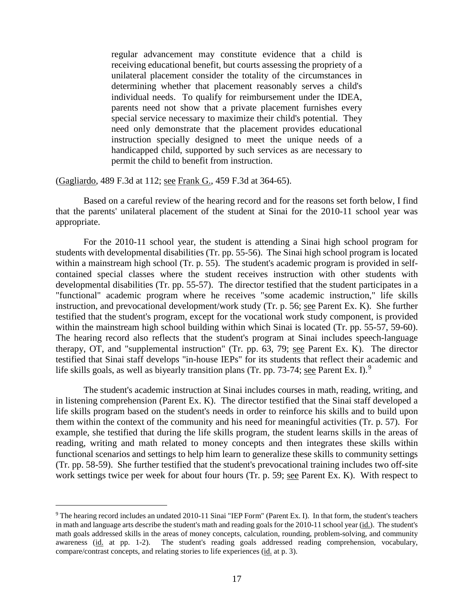regular advancement may constitute evidence that a child is receiving educational benefit, but courts assessing the propriety of a unilateral placement consider the totality of the circumstances in determining whether that placement reasonably serves a child's individual needs. To qualify for reimbursement under the IDEA, parents need not show that a private placement furnishes every special service necessary to maximize their child's potential. They need only demonstrate that the placement provides educational instruction specially designed to meet the unique needs of a handicapped child, supported by such services as are necessary to permit the child to benefit from instruction.

(Gagliardo, 489 F.3d at 112; see Frank G., 459 F.3d at 364-65).

Based on a careful review of the hearing record and for the reasons set forth below, I find that the parents' unilateral placement of the student at Sinai for the 2010-11 school year was appropriate.

For the 2010-11 school year, the student is attending a Sinai high school program for students with developmental disabilities (Tr. pp. 55-56). The Sinai high school program is located within a mainstream high school (Tr. p. 55). The student's academic program is provided in selfcontained special classes where the student receives instruction with other students with developmental disabilities (Tr. pp. 55-57). The director testified that the student participates in a "functional" academic program where he receives "some academic instruction," life skills instruction, and prevocational development/work study (Tr. p. 56; see Parent Ex. K). She further testified that the student's program, except for the vocational work study component, is provided within the mainstream high school building within which Sinai is located (Tr. pp. 55-57, 59-60). The hearing record also reflects that the student's program at Sinai includes speech-language therapy, OT, and "supplemental instruction" (Tr. pp. 63, 79; see Parent Ex. K). The director testified that Sinai staff develops "in-house IEPs" for its students that reflect their academic and life skills goals, as well as biyearly transition plans (Tr. pp. 73-74; see Parent Ex. I).<sup>9</sup>

The student's academic instruction at Sinai includes courses in math, reading, writing, and in listening comprehension (Parent Ex. K). The director testified that the Sinai staff developed a life skills program based on the student's needs in order to reinforce his skills and to build upon them within the context of the community and his need for meaningful activities (Tr. p. 57). For example, she testified that during the life skills program, the student learns skills in the areas of reading, writing and math related to money concepts and then integrates these skills within functional scenarios and settings to help him learn to generalize these skills to community settings (Tr. pp. 58-59). She further testified that the student's prevocational training includes two off-site work settings twice per week for about four hours (Tr. p. 59; see Parent Ex. K). With respect to

 <sup>9</sup> The hearing record includes an undated 2010-11 Sinai "IEP Form" (Parent Ex. I). In that form, the student's teachers in math and language arts describe the student's math and reading goals for the 2010-11 school year (id.). The student's math goals addressed skills in the areas of money concepts, calculation, rounding, problem-solving, and community awareness (id. at pp. 1-2). The student's reading goals addressed reading comprehension, vocabulary, compare/contrast concepts, and relating stories to life experiences (id. at p. 3).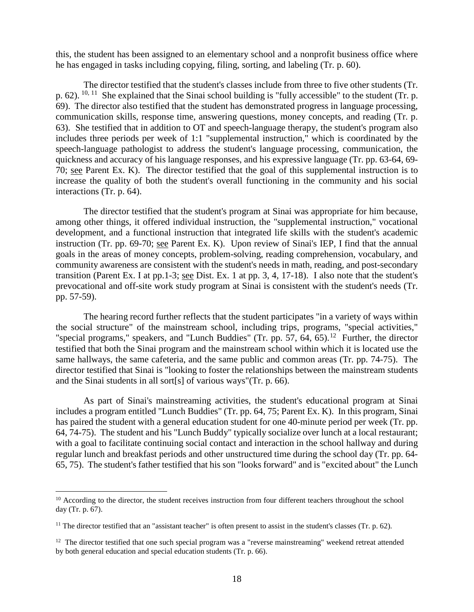this, the student has been assigned to an elementary school and a nonprofit business office where he has engaged in tasks including copying, filing, sorting, and labeling (Tr. p. 60).

The director testified that the student's classes include from three to five other students (Tr. p. 62).  $^{10, 11}$  She explained that the Sinai school building is "fully accessible" to the student (Tr. p. 69). The director also testified that the student has demonstrated progress in language processing, communication skills, response time, answering questions, money concepts, and reading (Tr. p. 63). She testified that in addition to OT and speech-language therapy, the student's program also includes three periods per week of 1:1 "supplemental instruction," which is coordinated by the speech-language pathologist to address the student's language processing, communication, the quickness and accuracy of his language responses, and his expressive language (Tr. pp. 63-64, 69- 70; see Parent Ex. K). The director testified that the goal of this supplemental instruction is to increase the quality of both the student's overall functioning in the community and his social interactions (Tr. p. 64).

The director testified that the student's program at Sinai was appropriate for him because, among other things, it offered individual instruction, the "supplemental instruction," vocational development, and a functional instruction that integrated life skills with the student's academic instruction (Tr. pp. 69-70; see Parent Ex. K). Upon review of Sinai's IEP, I find that the annual goals in the areas of money concepts, problem-solving, reading comprehension, vocabulary, and community awareness are consistent with the student's needs in math, reading, and post-secondary transition (Parent Ex. I at pp.1-3; see Dist. Ex. 1 at pp. 3, 4, 17-18). I also note that the student's prevocational and off-site work study program at Sinai is consistent with the student's needs (Tr. pp. 57-59).

The hearing record further reflects that the student participates "in a variety of ways within the social structure" of the mainstream school, including trips, programs, "special activities," "special programs," speakers, and "Lunch Buddies" (Tr. pp. 57, 64, 65).<sup>12</sup> Further, the director testified that both the Sinai program and the mainstream school within which it is located use the same hallways, the same cafeteria, and the same public and common areas (Tr. pp. 74-75). The director testified that Sinai is "looking to foster the relationships between the mainstream students and the Sinai students in all sort[s] of various ways"(Tr. p. 66).

As part of Sinai's mainstreaming activities, the student's educational program at Sinai includes a program entitled "Lunch Buddies" (Tr. pp. 64, 75; Parent Ex. K). In this program, Sinai has paired the student with a general education student for one 40-minute period per week (Tr. pp. 64, 74-75). The student and his "Lunch Buddy" typically socialize over lunch at a local restaurant; with a goal to facilitate continuing social contact and interaction in the school hallway and during regular lunch and breakfast periods and other unstructured time during the school day (Tr. pp. 64- 65, 75). The student's father testified that his son "looks forward" and is "excited about" the Lunch

<sup>&</sup>lt;sup>10</sup> According to the director, the student receives instruction from four different teachers throughout the school day (Tr. p. 67).

 $11$  The director testified that an "assistant teacher" is often present to assist in the student's classes (Tr. p. 62).

 $12$  The director testified that one such special program was a "reverse mainstreaming" weekend retreat attended by both general education and special education students (Tr. p. 66).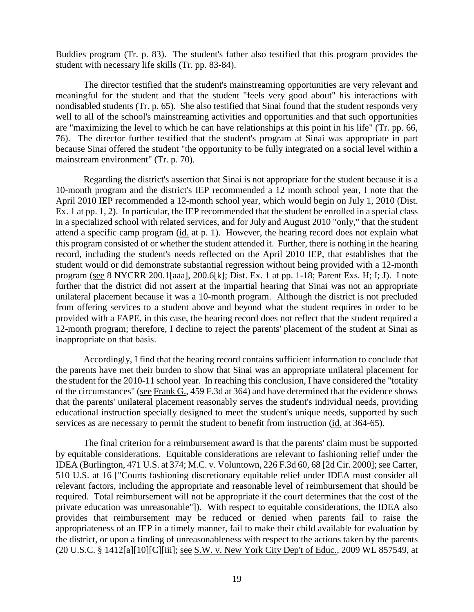Buddies program (Tr. p. 83). The student's father also testified that this program provides the student with necessary life skills (Tr. pp. 83-84).

The director testified that the student's mainstreaming opportunities are very relevant and meaningful for the student and that the student "feels very good about" his interactions with nondisabled students (Tr. p. 65). She also testified that Sinai found that the student responds very well to all of the school's mainstreaming activities and opportunities and that such opportunities are "maximizing the level to which he can have relationships at this point in his life" (Tr. pp. 66, 76). The director further testified that the student's program at Sinai was appropriate in part because Sinai offered the student "the opportunity to be fully integrated on a social level within a mainstream environment" (Tr. p. 70).

Regarding the district's assertion that Sinai is not appropriate for the student because it is a 10-month program and the district's IEP recommended a 12 month school year, I note that the April 2010 IEP recommended a 12-month school year, which would begin on July 1, 2010 (Dist. Ex. 1 at pp. 1, 2). In particular, the IEP recommended that the student be enrolled in a special class in a specialized school with related services, and for July and August 2010 "only," that the student attend a specific camp program (id. at p. 1). However, the hearing record does not explain what this program consisted of or whether the student attended it. Further, there is nothing in the hearing record, including the student's needs reflected on the April 2010 IEP, that establishes that the student would or did demonstrate substantial regression without being provided with a 12-month program (see 8 NYCRR 200.1[aaa], 200.6[k]; Dist. Ex. 1 at pp. 1-18; Parent Exs. H; I; J). I note further that the district did not assert at the impartial hearing that Sinai was not an appropriate unilateral placement because it was a 10-month program. Although the district is not precluded from offering services to a student above and beyond what the student requires in order to be provided with a FAPE, in this case, the hearing record does not reflect that the student required a 12-month program; therefore, I decline to reject the parents' placement of the student at Sinai as inappropriate on that basis.

Accordingly, I find that the hearing record contains sufficient information to conclude that the parents have met their burden to show that Sinai was an appropriate unilateral placement for the student for the 2010-11 school year. In reaching this conclusion, I have considered the "totality of the circumstances" (see Frank G., 459 F.3d at 364) and have determined that the evidence shows that the parents' unilateral placement reasonably serves the student's individual needs, providing educational instruction specially designed to meet the student's unique needs, supported by such services as are necessary to permit the student to benefit from instruction (id. at 364-65).

The final criterion for a reimbursement award is that the parents' claim must be supported by equitable considerations. Equitable considerations are relevant to fashioning relief under the IDEA (Burlington, 471 U.S. at 374; M.C. v. Voluntown, 226 F.3d 60, 68 [2d Cir. 2000]; see Carter, 510 U.S. at 16 ["Courts fashioning discretionary equitable relief under IDEA must consider all relevant factors, including the appropriate and reasonable level of reimbursement that should be required. Total reimbursement will not be appropriate if the court determines that the cost of the private education was unreasonable"]). With respect to equitable considerations, the IDEA also provides that reimbursement may be reduced or denied when parents fail to raise the appropriateness of an IEP in a timely manner, fail to make their child available for evaluation by the district, or upon a finding of unreasonableness with respect to the actions taken by the parents (20 U.S.C. § 1412[a][10][C][iii]; see S.W. v. New York City Dep't of Educ., 2009 WL 857549, at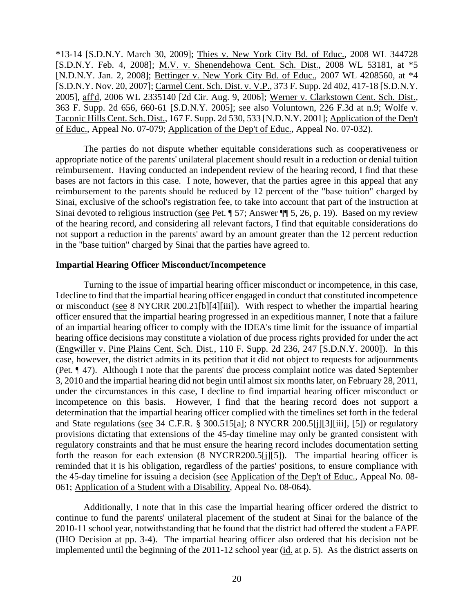\*13-14 [S.D.N.Y. March 30, 2009]; Thies v. New York City Bd. of Educ., 2008 WL 344728 [S.D.N.Y. Feb. 4, 2008]; M.V. v. Shenendehowa Cent. Sch. Dist., 2008 WL 53181, at \*5 [N.D.N.Y. Jan. 2, 2008]; Bettinger v. New York City Bd. of Educ., 2007 WL 4208560, at \*4 [S.D.N.Y. Nov. 20, 2007]; Carmel Cent. Sch. Dist. v. V.P., 373 F. Supp. 2d 402, 417-18 [S.D.N.Y. 2005], aff'd, 2006 WL 2335140 [2d Cir. Aug. 9, 2006]; Werner v. Clarkstown Cent. Sch. Dist., 363 F. Supp. 2d 656, 660-61 [S.D.N.Y. 2005]; see also Voluntown, 226 F.3d at n.9; Wolfe v. Taconic Hills Cent. Sch. Dist., 167 F. Supp. 2d 530, 533 [N.D.N.Y. 2001]; Application of the Dep't of Educ., Appeal No. 07-079; Application of the Dep't of Educ., Appeal No. 07-032).

The parties do not dispute whether equitable considerations such as cooperativeness or appropriate notice of the parents' unilateral placement should result in a reduction or denial tuition reimbursement. Having conducted an independent review of the hearing record, I find that these bases are not factors in this case. I note, however, that the parties agree in this appeal that any reimbursement to the parents should be reduced by 12 percent of the "base tuition" charged by Sinai, exclusive of the school's registration fee, to take into account that part of the instruction at Sinai devoted to religious instruction (see Pet. ¶ 57; Answer ¶¶ 5, 26, p. 19). Based on my review of the hearing record, and considering all relevant factors, I find that equitable considerations do not support a reduction in the parents' award by an amount greater than the 12 percent reduction in the "base tuition" charged by Sinai that the parties have agreed to.

## **Impartial Hearing Officer Misconduct/Incompetence**

Turning to the issue of impartial hearing officer misconduct or incompetence, in this case, I decline to find that the impartial hearing officer engaged in conduct that constituted incompetence or misconduct (see 8 NYCRR 200.21[b][4][iii]). With respect to whether the impartial hearing officer ensured that the impartial hearing progressed in an expeditious manner, I note that a failure of an impartial hearing officer to comply with the IDEA's time limit for the issuance of impartial hearing office decisions may constitute a violation of due process rights provided for under the act (Engwiller v. Pine Plains Cent. Sch. Dist., 110 F. Supp. 2d 236, 247 [S.D.N.Y. 2000]). In this case, however, the district admits in its petition that it did not object to requests for adjournments (Pet. ¶ 47). Although I note that the parents' due process complaint notice was dated September 3, 2010 and the impartial hearing did not begin until almost six months later, on February 28, 2011, under the circumstances in this case, I decline to find impartial hearing officer misconduct or incompetence on this basis. However, I find that the hearing record does not support a determination that the impartial hearing officer complied with the timelines set forth in the federal and State regulations (see 34 C.F.R. § 300.515[a]; 8 NYCRR 200.5[j][3][iii], [5]) or regulatory provisions dictating that extensions of the 45-day timeline may only be granted consistent with regulatory constraints and that he must ensure the hearing record includes documentation setting forth the reason for each extension (8 NYCRR200.5[j][5]). The impartial hearing officer is reminded that it is his obligation, regardless of the parties' positions, to ensure compliance with the 45-day timeline for issuing a decision (see Application of the Dep't of Educ., Appeal No. 08- 061; Application of a Student with a Disability, Appeal No. 08-064).

Additionally, I note that in this case the impartial hearing officer ordered the district to continue to fund the parents' unilateral placement of the student at Sinai for the balance of the 2010-11 school year, notwithstanding that he found that the district had offered the student a FAPE (IHO Decision at pp. 3-4). The impartial hearing officer also ordered that his decision not be implemented until the beginning of the 2011-12 school year (id. at p. 5). As the district asserts on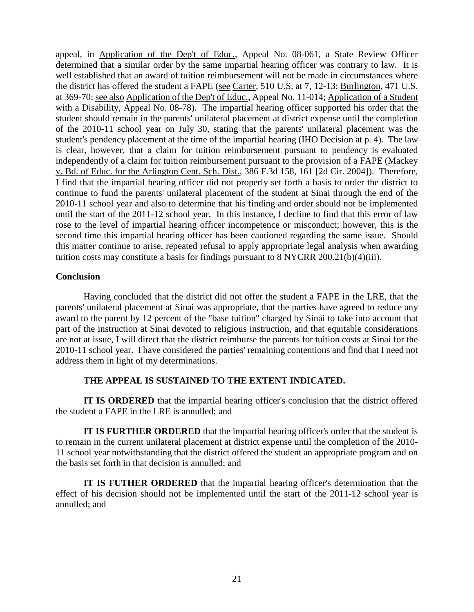appeal, in Application of the Dep't of Educ., Appeal No. 08-061, a State Review Officer determined that a similar order by the same impartial hearing officer was contrary to law. It is well established that an award of tuition reimbursement will not be made in circumstances where the district has offered the student a FAPE (see Carter, 510 U.S. at 7, 12-13; Burlington, 471 U.S. at 369-70; see also Application of the Dep't of Educ., Appeal No. 11-014; Application of a Student with a Disability, Appeal No. 08-78). The impartial hearing officer supported his order that the student should remain in the parents' unilateral placement at district expense until the completion of the 2010-11 school year on July 30, stating that the parents' unilateral placement was the student's pendency placement at the time of the impartial hearing (IHO Decision at p. 4). The law is clear, however, that a claim for tuition reimbursement pursuant to pendency is evaluated independently of a claim for tuition reimbursement pursuant to the provision of a FAPE (Mackey v. Bd. of Educ. for the Arlington Cent. Sch. Dist., 386 F.3d 158, 161 [2d Cir. 2004]). Therefore, I find that the impartial hearing officer did not properly set forth a basis to order the district to continue to fund the parents' unilateral placement of the student at Sinai through the end of the 2010-11 school year and also to determine that his finding and order should not be implemented until the start of the 2011-12 school year. In this instance, I decline to find that this error of law rose to the level of impartial hearing officer incompetence or misconduct; however, this is the second time this impartial hearing officer has been cautioned regarding the same issue. Should this matter continue to arise, repeated refusal to apply appropriate legal analysis when awarding tuition costs may constitute a basis for findings pursuant to 8 NYCRR 200.21(b)(4)(iii).

## **Conclusion**

Having concluded that the district did not offer the student a FAPE in the LRE, that the parents' unilateral placement at Sinai was appropriate, that the parties have agreed to reduce any award to the parent by 12 percent of the "base tuition" charged by Sinai to take into account that part of the instruction at Sinai devoted to religious instruction, and that equitable considerations are not at issue, I will direct that the district reimburse the parents for tuition costs at Sinai for the 2010-11 school year. I have considered the parties' remaining contentions and find that I need not address them in light of my determinations.

# **THE APPEAL IS SUSTAINED TO THE EXTENT INDICATED.**

**IT IS ORDERED** that the impartial hearing officer's conclusion that the district offered the student a FAPE in the LRE is annulled; and

**IT IS FURTHER ORDERED** that the impartial hearing officer's order that the student is to remain in the current unilateral placement at district expense until the completion of the 2010- 11 school year notwithstanding that the district offered the student an appropriate program and on the basis set forth in that decision is annulled; and

**IT IS FUTHER ORDERED** that the impartial hearing officer's determination that the effect of his decision should not be implemented until the start of the 2011-12 school year is annulled; and